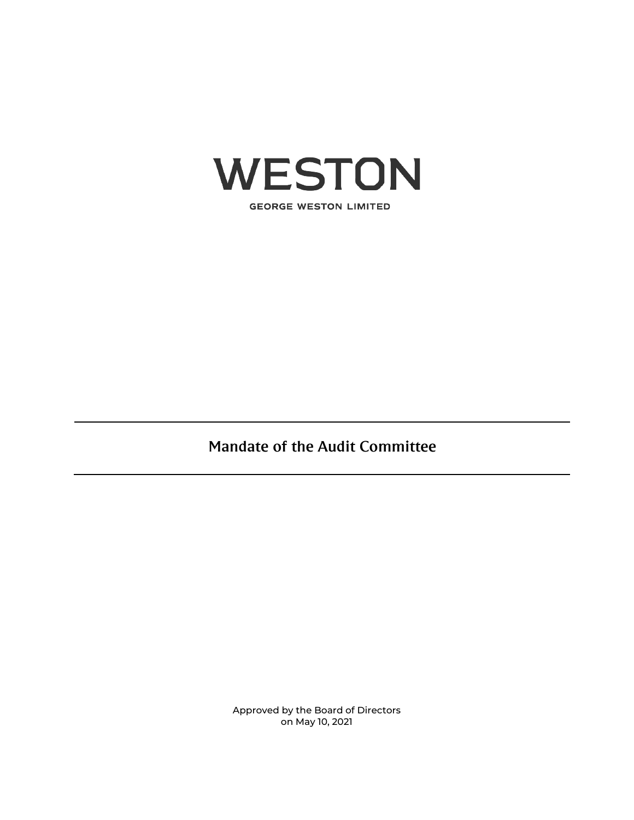

**GEORGE WESTON LIMITED** 

Mandate of the Audit Committee

Approved by the Board of Directors on May 10, 2021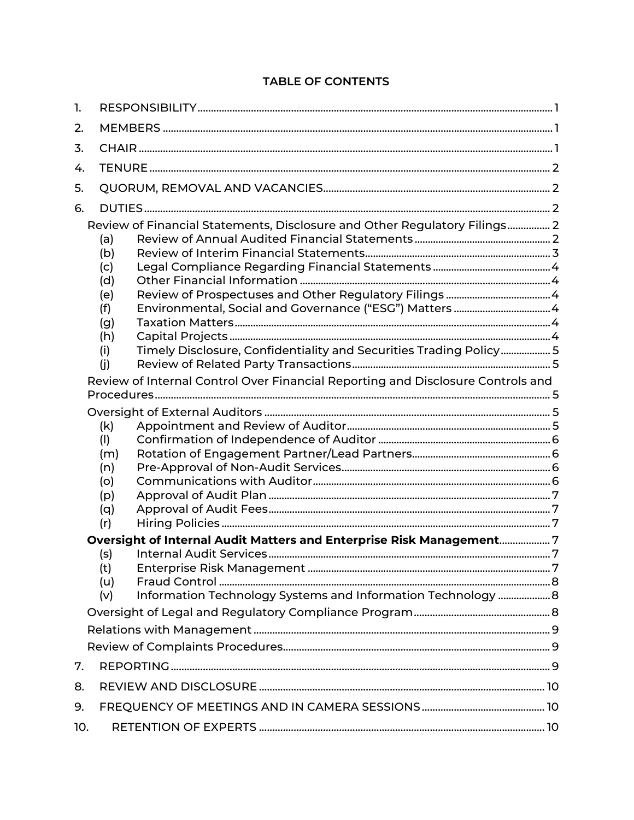# **TABLE OF CONTENTS**

| 1.  |                                                                                 |                                                                    |  |
|-----|---------------------------------------------------------------------------------|--------------------------------------------------------------------|--|
| 2.  |                                                                                 |                                                                    |  |
| 3.  |                                                                                 |                                                                    |  |
| 4.  |                                                                                 |                                                                    |  |
| 5.  |                                                                                 |                                                                    |  |
| 6.  |                                                                                 |                                                                    |  |
|     | Review of Financial Statements, Disclosure and Other Regulatory Filings 2       |                                                                    |  |
|     | (a)                                                                             |                                                                    |  |
|     | (b)                                                                             |                                                                    |  |
|     | (c)                                                                             |                                                                    |  |
|     | (d)                                                                             |                                                                    |  |
|     | (e)                                                                             |                                                                    |  |
|     | (f)                                                                             |                                                                    |  |
|     | (g)                                                                             |                                                                    |  |
|     | (h)                                                                             |                                                                    |  |
|     | (i)                                                                             | Timely Disclosure, Confidentiality and Securities Trading Policy 5 |  |
|     | (i)                                                                             |                                                                    |  |
|     | Review of Internal Control Over Financial Reporting and Disclosure Controls and |                                                                    |  |
|     |                                                                                 |                                                                    |  |
|     |                                                                                 |                                                                    |  |
|     | (k)                                                                             |                                                                    |  |
|     | (1)<br>(m)                                                                      |                                                                    |  |
|     | (n)                                                                             |                                                                    |  |
|     | (o)                                                                             |                                                                    |  |
|     | (p)                                                                             |                                                                    |  |
|     | (q)                                                                             |                                                                    |  |
|     | (r)                                                                             |                                                                    |  |
|     | Oversight of Internal Audit Matters and Enterprise Risk Management7             |                                                                    |  |
|     | (s)                                                                             |                                                                    |  |
|     | (t)                                                                             |                                                                    |  |
|     | (u)                                                                             |                                                                    |  |
|     | (v)                                                                             | Information Technology Systems and Information Technology  8       |  |
|     |                                                                                 |                                                                    |  |
|     |                                                                                 |                                                                    |  |
|     |                                                                                 |                                                                    |  |
| 7.  |                                                                                 |                                                                    |  |
| 8.  |                                                                                 |                                                                    |  |
| 9.  |                                                                                 |                                                                    |  |
| 10. |                                                                                 |                                                                    |  |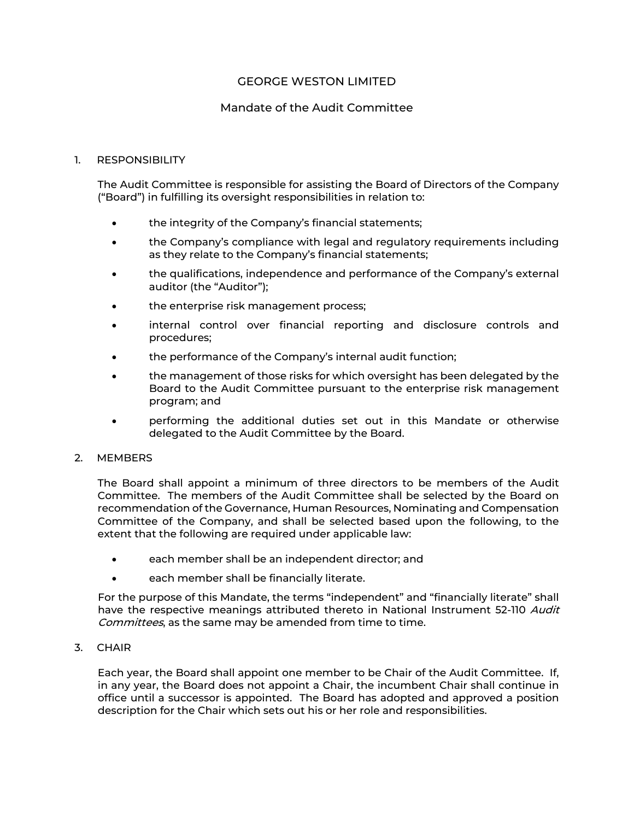# GEORGE WESTON LIMITED

# Mandate of the Audit Committee

### <span id="page-2-0"></span>1. RESPONSIBILITY

The Audit Committee is responsible for assisting the Board of Directors of the Company ("Board") in fulfilling its oversight responsibilities in relation to:

- the integrity of the Company's financial statements;
- the Company's compliance with legal and regulatory requirements including as they relate to the Company's financial statements;
- the qualifications, independence and performance of the Company's external auditor (the "Auditor");
- the enterprise risk management process;
- internal control over financial reporting and disclosure controls and procedures;
- the performance of the Company's internal audit function;
- the management of those risks for which oversight has been delegated by the Board to the Audit Committee pursuant to the enterprise risk management program; and
- performing the additional duties set out in this Mandate or otherwise delegated to the Audit Committee by the Board.

#### <span id="page-2-1"></span>2. MEMBERS

The Board shall appoint a minimum of three directors to be members of the Audit Committee. The members of the Audit Committee shall be selected by the Board on recommendation of the Governance, Human Resources, Nominating and Compensation Committee of the Company, and shall be selected based upon the following, to the extent that the following are required under applicable law:

- each member shall be an independent director; and
- each member shall be financially literate.

For the purpose of this Mandate, the terms "independent" and "financially literate" shall have the respective meanings attributed thereto in National Instrument 52-110 Audit Committees, as the same may be amended from time to time.

<span id="page-2-2"></span>3. CHAIR

Each year, the Board shall appoint one member to be Chair of the Audit Committee. If, in any year, the Board does not appoint a Chair, the incumbent Chair shall continue in office until a successor is appointed. The Board has adopted and approved a position description for the Chair which sets out his or her role and responsibilities.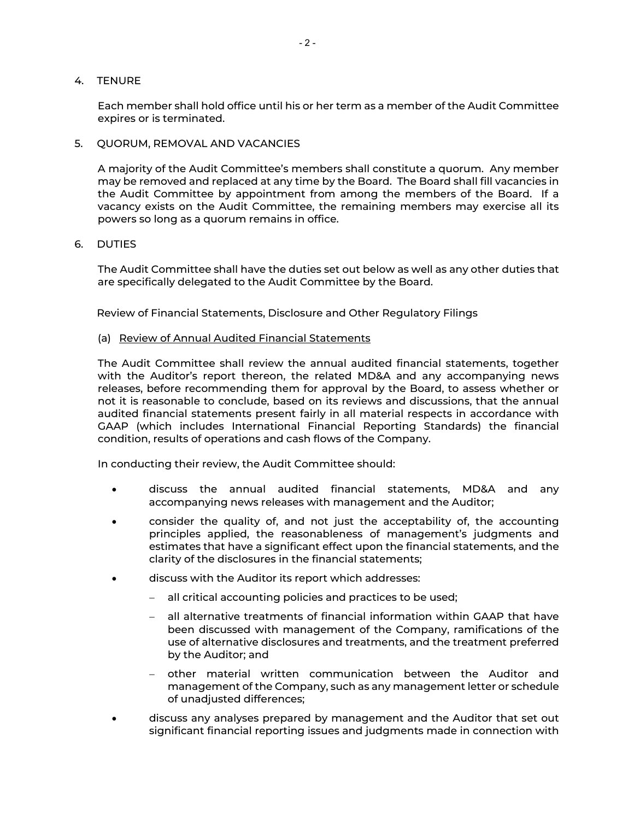### <span id="page-3-0"></span>4. TENURE

Each member shall hold office until his or her term as a member of the Audit Committee expires or is terminated.

<span id="page-3-1"></span>5. QUORUM, REMOVAL AND VACANCIES

A majority of the Audit Committee's members shall constitute a quorum. Any member may be removed and replaced at any time by the Board. The Board shall fill vacancies in the Audit Committee by appointment from among the members of the Board. If a vacancy exists on the Audit Committee, the remaining members may exercise all its powers so long as a quorum remains in office.

<span id="page-3-2"></span>6. DUTIES

The Audit Committee shall have the duties set out below as well as any other duties that are specifically delegated to the Audit Committee by the Board.

<span id="page-3-3"></span>Review of Financial Statements, Disclosure and Other Regulatory Filings

#### <span id="page-3-4"></span>(a) Review of Annual Audited Financial Statements

The Audit Committee shall review the annual audited financial statements, together with the Auditor's report thereon, the related MD&A and any accompanying news releases, before recommending them for approval by the Board, to assess whether or not it is reasonable to conclude, based on its reviews and discussions, that the annual audited financial statements present fairly in all material respects in accordance with GAAP (which includes International Financial Reporting Standards) the financial condition, results of operations and cash flows of the Company.

In conducting their review, the Audit Committee should:

- discuss the annual audited financial statements, MD&A and any accompanying news releases with management and the Auditor;
- consider the quality of, and not just the acceptability of, the accounting principles applied, the reasonableness of management's judgments and estimates that have a significant effect upon the financial statements, and the clarity of the disclosures in the financial statements;
- discuss with the Auditor its report which addresses:
	- − all critical accounting policies and practices to be used;
	- − all alternative treatments of financial information within GAAP that have been discussed with management of the Company, ramifications of the use of alternative disclosures and treatments, and the treatment preferred by the Auditor; and
	- − other material written communication between the Auditor and management of the Company, such as any management letter or schedule of unadjusted differences;
- discuss any analyses prepared by management and the Auditor that set out significant financial reporting issues and judgments made in connection with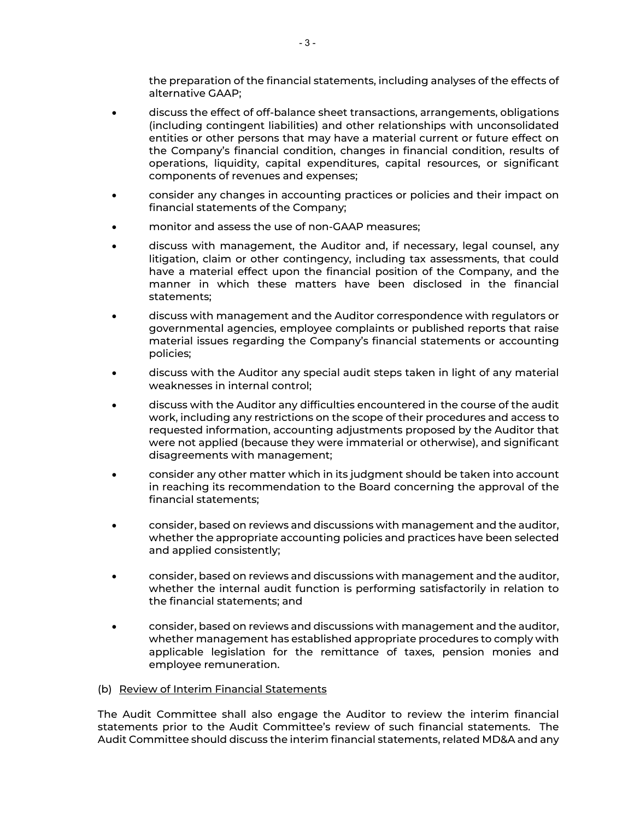the preparation of the financial statements, including analyses of the effects of alternative GAAP;

- discuss the effect of off-balance sheet transactions, arrangements, obligations (including contingent liabilities) and other relationships with unconsolidated entities or other persons that may have a material current or future effect on the Company's financial condition, changes in financial condition, results of operations, liquidity, capital expenditures, capital resources, or significant components of revenues and expenses;
- consider any changes in accounting practices or policies and their impact on financial statements of the Company;
- monitor and assess the use of non-GAAP measures;
- discuss with management, the Auditor and, if necessary, legal counsel, any litigation, claim or other contingency, including tax assessments, that could have a material effect upon the financial position of the Company, and the manner in which these matters have been disclosed in the financial statements;
- discuss with management and the Auditor correspondence with regulators or governmental agencies, employee complaints or published reports that raise material issues regarding the Company's financial statements or accounting policies;
- discuss with the Auditor any special audit steps taken in light of any material weaknesses in internal control;
- discuss with the Auditor any difficulties encountered in the course of the audit work, including any restrictions on the scope of their procedures and access to requested information, accounting adjustments proposed by the Auditor that were not applied (because they were immaterial or otherwise), and significant disagreements with management;
- consider any other matter which in its judgment should be taken into account in reaching its recommendation to the Board concerning the approval of the financial statements;
- consider, based on reviews and discussions with management and the auditor, whether the appropriate accounting policies and practices have been selected and applied consistently;
- consider, based on reviews and discussions with management and the auditor, whether the internal audit function is performing satisfactorily in relation to the financial statements; and
- consider, based on reviews and discussions with management and the auditor, whether management has established appropriate procedures to comply with applicable legislation for the remittance of taxes, pension monies and employee remuneration.
- <span id="page-4-0"></span>(b) Review of Interim Financial Statements

The Audit Committee shall also engage the Auditor to review the interim financial statements prior to the Audit Committee's review of such financial statements. The Audit Committee should discuss the interim financial statements, related MD&A and any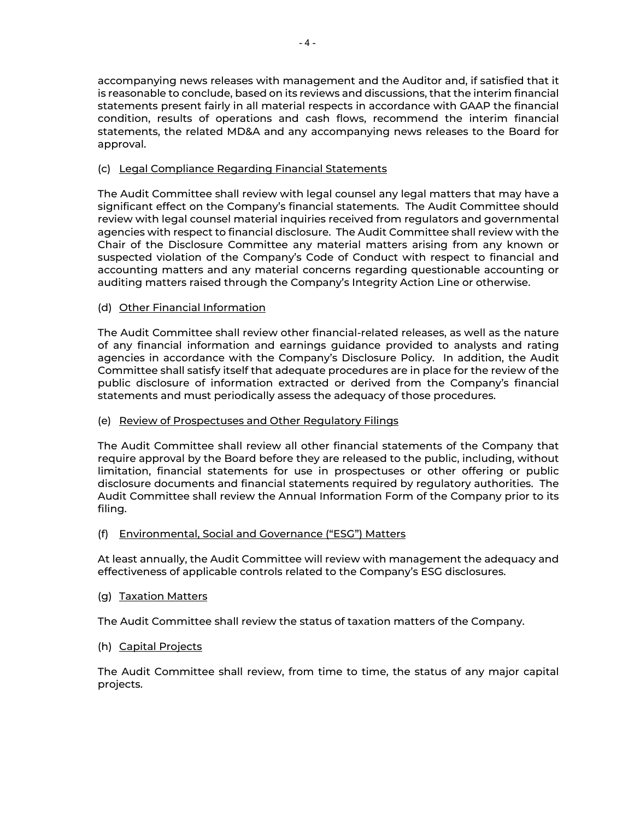accompanying news releases with management and the Auditor and, if satisfied that it is reasonable to conclude, based on its reviews and discussions, that the interim financial statements present fairly in all material respects in accordance with GAAP the financial condition, results of operations and cash flows, recommend the interim financial statements, the related MD&A and any accompanying news releases to the Board for approval.

# <span id="page-5-0"></span>(c) Legal Compliance Regarding Financial Statements

The Audit Committee shall review with legal counsel any legal matters that may have a significant effect on the Company's financial statements. The Audit Committee should review with legal counsel material inquiries received from regulators and governmental agencies with respect to financial disclosure. The Audit Committee shall review with the Chair of the Disclosure Committee any material matters arising from any known or suspected violation of the Company's Code of Conduct with respect to financial and accounting matters and any material concerns regarding questionable accounting or auditing matters raised through the Company's Integrity Action Line or otherwise.

# <span id="page-5-1"></span>(d) Other Financial Information

The Audit Committee shall review other financial-related releases, as well as the nature of any financial information and earnings guidance provided to analysts and rating agencies in accordance with the Company's Disclosure Policy. In addition, the Audit Committee shall satisfy itself that adequate procedures are in place for the review of the public disclosure of information extracted or derived from the Company's financial statements and must periodically assess the adequacy of those procedures.

# <span id="page-5-2"></span>(e) Review of Prospectuses and Other Regulatory Filings

The Audit Committee shall review all other financial statements of the Company that require approval by the Board before they are released to the public, including, without limitation, financial statements for use in prospectuses or other offering or public disclosure documents and financial statements required by regulatory authorities. The Audit Committee shall review the Annual Information Form of the Company prior to its filing.

# <span id="page-5-3"></span>(f) Environmental, Social and Governance ("ESG") Matters

At least annually, the Audit Committee will review with management the adequacy and effectiveness of applicable controls related to the Company's ESG disclosures.

# <span id="page-5-4"></span>(g) Taxation Matters

The Audit Committee shall review the status of taxation matters of the Company.

# <span id="page-5-5"></span>(h) Capital Projects

The Audit Committee shall review, from time to time, the status of any major capital projects.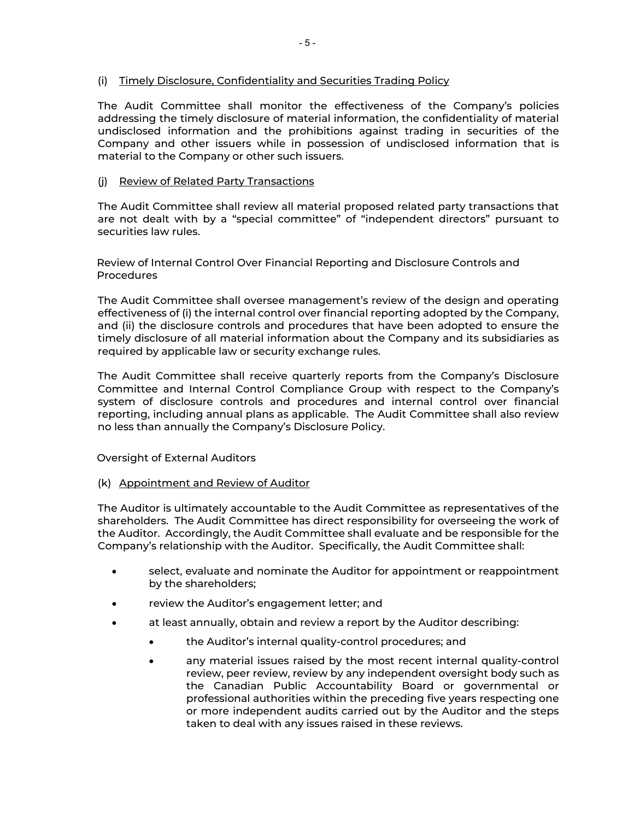# <span id="page-6-0"></span>(i) Timely Disclosure, Confidentiality and Securities Trading Policy

The Audit Committee shall monitor the effectiveness of the Company's policies addressing the timely disclosure of material information, the confidentiality of material undisclosed information and the prohibitions against trading in securities of the Company and other issuers while in possession of undisclosed information that is material to the Company or other such issuers.

# <span id="page-6-1"></span>(j) Review of Related Party Transactions

The Audit Committee shall review all material proposed related party transactions that are not dealt with by a "special committee" of "independent directors" pursuant to securities law rules.

<span id="page-6-2"></span>Review of Internal Control Over Financial Reporting and Disclosure Controls and Procedures

The Audit Committee shall oversee management's review of the design and operating effectiveness of (i) the internal control over financial reporting adopted by the Company, and (ii) the disclosure controls and procedures that have been adopted to ensure the timely disclosure of all material information about the Company and its subsidiaries as required by applicable law or security exchange rules.

The Audit Committee shall receive quarterly reports from the Company's Disclosure Committee and Internal Control Compliance Group with respect to the Company's system of disclosure controls and procedures and internal control over financial reporting, including annual plans as applicable. The Audit Committee shall also review no less than annually the Company's Disclosure Policy.

#### <span id="page-6-3"></span>Oversight of External Auditors

#### <span id="page-6-4"></span>(k) Appointment and Review of Auditor

The Auditor is ultimately accountable to the Audit Committee as representatives of the shareholders. The Audit Committee has direct responsibility for overseeing the work of the Auditor. Accordingly, the Audit Committee shall evaluate and be responsible for the Company's relationship with the Auditor. Specifically, the Audit Committee shall:

- select, evaluate and nominate the Auditor for appointment or reappointment by the shareholders;
- review the Auditor's engagement letter; and
- at least annually, obtain and review a report by the Auditor describing:
	- the Auditor's internal quality-control procedures; and
	- any material issues raised by the most recent internal quality-control review, peer review, review by any independent oversight body such as the Canadian Public Accountability Board or governmental or professional authorities within the preceding five years respecting one or more independent audits carried out by the Auditor and the steps taken to deal with any issues raised in these reviews.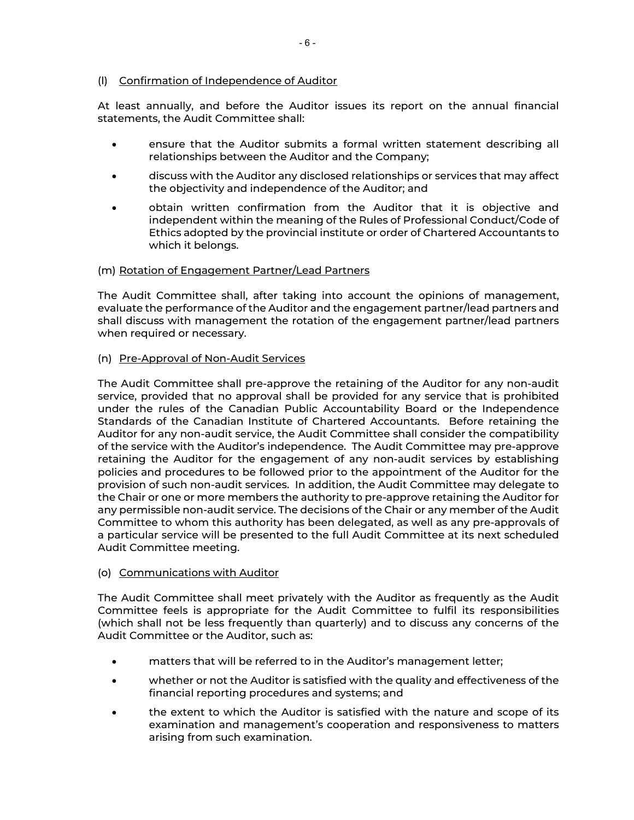# <span id="page-7-0"></span>(l) Confirmation of Independence of Auditor

At least annually, and before the Auditor issues its report on the annual financial statements, the Audit Committee shall:

- ensure that the Auditor submits a formal written statement describing all relationships between the Auditor and the Company;
- discuss with the Auditor any disclosed relationships or services that may affect the objectivity and independence of the Auditor; and
- obtain written confirmation from the Auditor that it is objective and independent within the meaning of the Rules of Professional Conduct/Code of Ethics adopted by the provincial institute or order of Chartered Accountants to which it belongs.

# <span id="page-7-1"></span>(m) Rotation of Engagement Partner/Lead Partners

The Audit Committee shall, after taking into account the opinions of management, evaluate the performance of the Auditor and the engagement partner/lead partners and shall discuss with management the rotation of the engagement partner/lead partners when required or necessary.

# <span id="page-7-2"></span>(n) Pre-Approval of Non-Audit Services

The Audit Committee shall pre-approve the retaining of the Auditor for any non-audit service, provided that no approval shall be provided for any service that is prohibited under the rules of the Canadian Public Accountability Board or the Independence Standards of the Canadian Institute of Chartered Accountants. Before retaining the Auditor for any non-audit service, the Audit Committee shall consider the compatibility of the service with the Auditor's independence. The Audit Committee may pre-approve retaining the Auditor for the engagement of any non-audit services by establishing policies and procedures to be followed prior to the appointment of the Auditor for the provision of such non-audit services. In addition, the Audit Committee may delegate to the Chair or one or more members the authority to pre-approve retaining the Auditor for any permissible non-audit service. The decisions of the Chair or any member of the Audit Committee to whom this authority has been delegated, as well as any pre-approvals of a particular service will be presented to the full Audit Committee at its next scheduled Audit Committee meeting.

# <span id="page-7-3"></span>(o) Communications with Auditor

The Audit Committee shall meet privately with the Auditor as frequently as the Audit Committee feels is appropriate for the Audit Committee to fulfil its responsibilities (which shall not be less frequently than quarterly) and to discuss any concerns of the Audit Committee or the Auditor, such as:

- matters that will be referred to in the Auditor's management letter;
- whether or not the Auditor is satisfied with the quality and effectiveness of the financial reporting procedures and systems; and
- the extent to which the Auditor is satisfied with the nature and scope of its examination and management's cooperation and responsiveness to matters arising from such examination.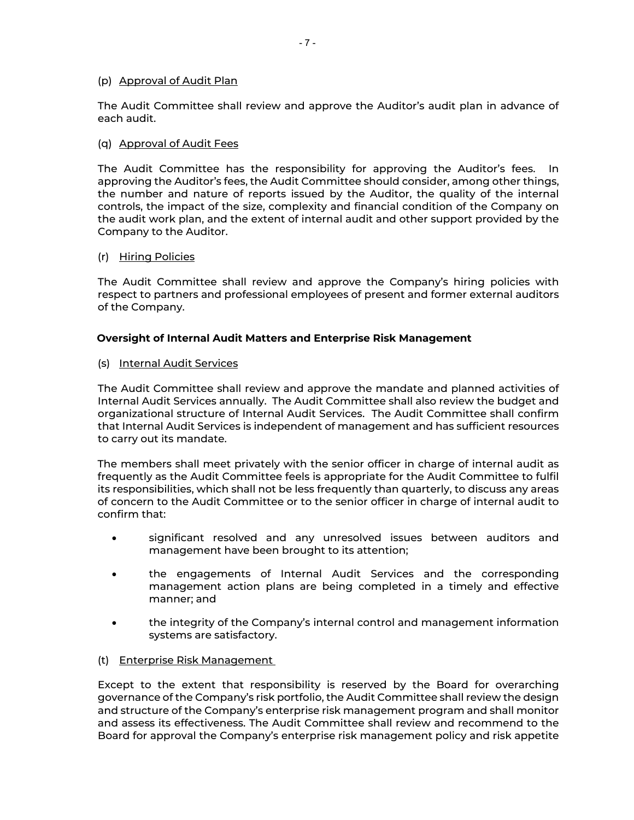### <span id="page-8-0"></span>(p) Approval of Audit Plan

The Audit Committee shall review and approve the Auditor's audit plan in advance of each audit.

### <span id="page-8-1"></span>(q) Approval of Audit Fees

The Audit Committee has the responsibility for approving the Auditor's fees. In approving the Auditor's fees, the Audit Committee should consider, among other things, the number and nature of reports issued by the Auditor, the quality of the internal controls, the impact of the size, complexity and financial condition of the Company on the audit work plan, and the extent of internal audit and other support provided by the Company to the Auditor.

### <span id="page-8-2"></span>(r) Hiring Policies

The Audit Committee shall review and approve the Company's hiring policies with respect to partners and professional employees of present and former external auditors of the Company.

# <span id="page-8-3"></span>**Oversight of Internal Audit Matters and Enterprise Risk Management**

<span id="page-8-4"></span>(s) Internal Audit Services

The Audit Committee shall review and approve the mandate and planned activities of Internal Audit Services annually. The Audit Committee shall also review the budget and organizational structure of Internal Audit Services. The Audit Committee shall confirm that Internal Audit Services is independent of management and has sufficient resources to carry out its mandate.

The members shall meet privately with the senior officer in charge of internal audit as frequently as the Audit Committee feels is appropriate for the Audit Committee to fulfil its responsibilities, which shall not be less frequently than quarterly, to discuss any areas of concern to the Audit Committee or to the senior officer in charge of internal audit to confirm that:

- significant resolved and any unresolved issues between auditors and management have been brought to its attention;
- the engagements of Internal Audit Services and the corresponding management action plans are being completed in a timely and effective manner; and
- the integrity of the Company's internal control and management information systems are satisfactory.
- <span id="page-8-5"></span>(t) Enterprise Risk Management

Except to the extent that responsibility is reserved by the Board for overarching governance of the Company's risk portfolio, the Audit Committee shall review the design and structure of the Company's enterprise risk management program and shall monitor and assess its effectiveness. The Audit Committee shall review and recommend to the Board for approval the Company's enterprise risk management policy and risk appetite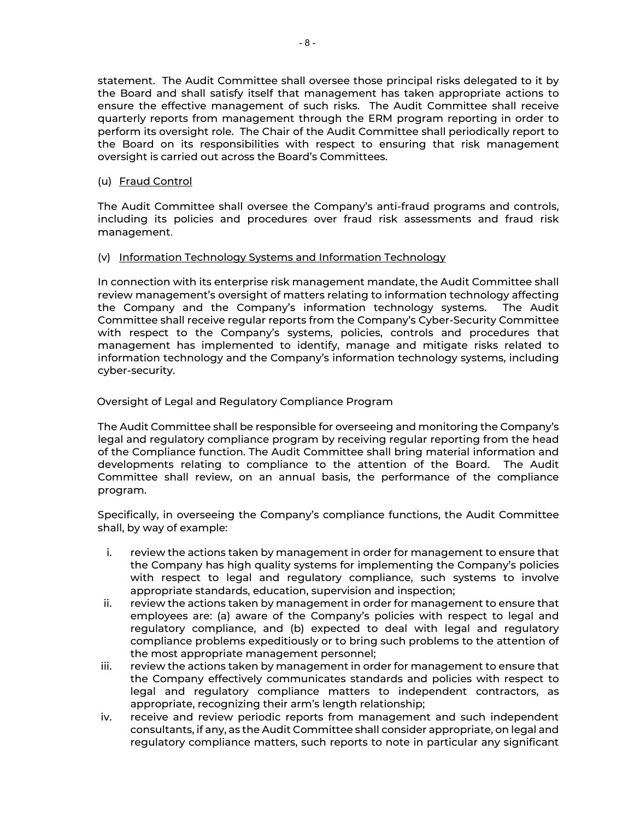statement. The Audit Committee shall oversee those principal risks delegated to it by the Board and shall satisfy itself that management has taken appropriate actions to ensure the effective management of such risks. The Audit Committee shall receive quarterly reports from management through the ERM program reporting in order to perform its oversight role. The Chair of the Audit Committee shall periodically report to the Board on its responsibilities with respect to ensuring that risk management oversight is carried out across the Board's Committees.

# <span id="page-9-0"></span>(u) Fraud Control

The Audit Committee shall oversee the Company's anti-fraud programs and controls, including its policies and procedures over fraud risk assessments and fraud risk management.

### <span id="page-9-1"></span>(v) Information Technology Systems and Information Technology

In connection with its enterprise risk management mandate, the Audit Committee shall review management's oversight of matters relating to information technology affecting the Company and the Company's information technology systems. The Audit Committee shall receive regular reports from the Company's Cyber-Security Committee with respect to the Company's systems, policies, controls and procedures that management has implemented to identify, manage and mitigate risks related to information technology and the Company's information technology systems, including cyber-security.

### <span id="page-9-2"></span>Oversight of Legal and Regulatory Compliance Program

The Audit Committee shall be responsible for overseeing and monitoring the Company's legal and regulatory compliance program by receiving regular reporting from the head of the Compliance function. The Audit Committee shall bring material information and developments relating to compliance to the attention of the Board. The Audit Committee shall review, on an annual basis, the performance of the compliance program.

Specifically, in overseeing the Company's compliance functions, the Audit Committee shall, by way of example:

- i. review the actions taken by management in order for management to ensure that the Company has high quality systems for implementing the Company's policies with respect to legal and regulatory compliance, such systems to involve appropriate standards, education, supervision and inspection;
- ii. review the actions taken by management in order for management to ensure that employees are: (a) aware of the Company's policies with respect to legal and regulatory compliance, and (b) expected to deal with legal and regulatory compliance problems expeditiously or to bring such problems to the attention of the most appropriate management personnel;
- iii. review the actions taken by management in order for management to ensure that the Company effectively communicates standards and policies with respect to legal and regulatory compliance matters to independent contractors, as appropriate, recognizing their arm's length relationship;
- iv. receive and review periodic reports from management and such independent consultants, if any, as the Audit Committee shall consider appropriate, on legal and regulatory compliance matters, such reports to note in particular any significant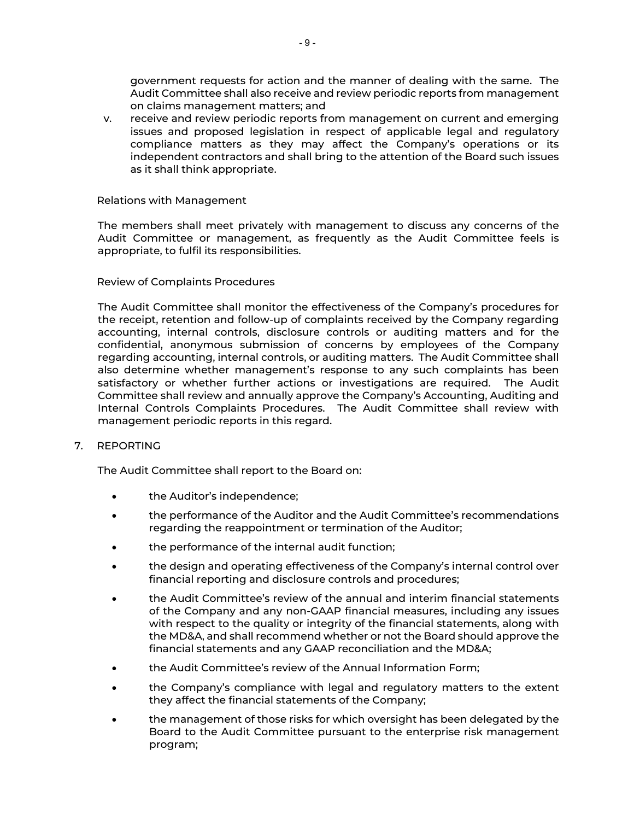government requests for action and the manner of dealing with the same. The Audit Committee shall also receive and review periodic reports from management on claims management matters; and

v. receive and review periodic reports from management on current and emerging issues and proposed legislation in respect of applicable legal and regulatory compliance matters as they may affect the Company's operations or its independent contractors and shall bring to the attention of the Board such issues as it shall think appropriate.

### <span id="page-10-0"></span>Relations with Management

The members shall meet privately with management to discuss any concerns of the Audit Committee or management, as frequently as the Audit Committee feels is appropriate, to fulfil its responsibilities.

### <span id="page-10-1"></span>Review of Complaints Procedures

The Audit Committee shall monitor the effectiveness of the Company's procedures for the receipt, retention and follow-up of complaints received by the Company regarding accounting, internal controls, disclosure controls or auditing matters and for the confidential, anonymous submission of concerns by employees of the Company regarding accounting, internal controls, or auditing matters. The Audit Committee shall also determine whether management's response to any such complaints has been satisfactory or whether further actions or investigations are required. The Audit Committee shall review and annually approve the Company's Accounting, Auditing and Internal Controls Complaints Procedures. The Audit Committee shall review with management periodic reports in this regard.

#### <span id="page-10-2"></span>7. REPORTING

The Audit Committee shall report to the Board on:

- the Auditor's independence;
- the performance of the Auditor and the Audit Committee's recommendations regarding the reappointment or termination of the Auditor;
- the performance of the internal audit function;
- the design and operating effectiveness of the Company's internal control over financial reporting and disclosure controls and procedures;
- the Audit Committee's review of the annual and interim financial statements of the Company and any non-GAAP financial measures, including any issues with respect to the quality or integrity of the financial statements, along with the MD&A, and shall recommend whether or not the Board should approve the financial statements and any GAAP reconciliation and the MD&A;
- the Audit Committee's review of the Annual Information Form;
- the Company's compliance with legal and regulatory matters to the extent they affect the financial statements of the Company;
- the management of those risks for which oversight has been delegated by the Board to the Audit Committee pursuant to the enterprise risk management program;